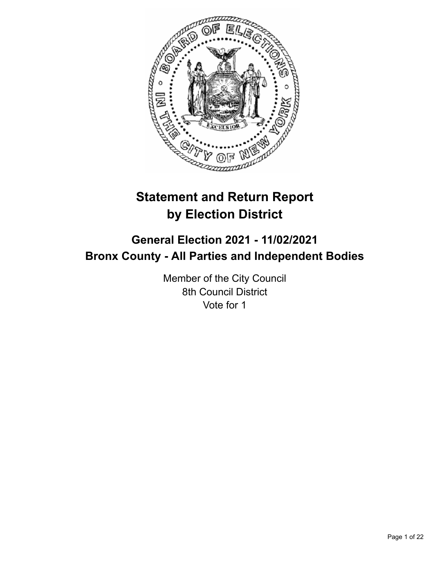

# **Statement and Return Report by Election District**

## **General Election 2021 - 11/02/2021 Bronx County - All Parties and Independent Bodies**

Member of the City Council 8th Council District Vote for 1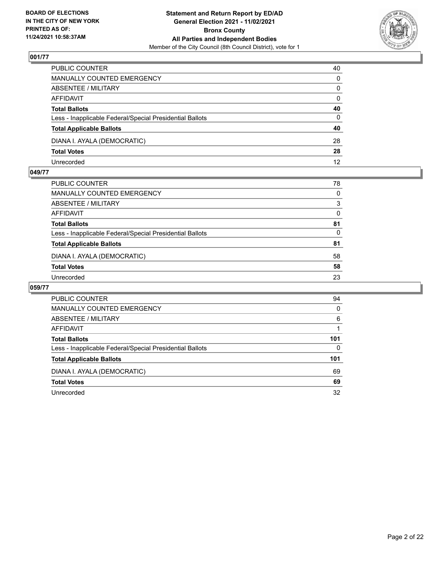

| PUBLIC COUNTER                                           | 40           |
|----------------------------------------------------------|--------------|
| <b>MANUALLY COUNTED EMERGENCY</b>                        | $\Omega$     |
| ABSENTEE / MILITARY                                      | $\mathbf{0}$ |
| AFFIDAVIT                                                | $\mathbf{0}$ |
| <b>Total Ballots</b>                                     | 40           |
| Less - Inapplicable Federal/Special Presidential Ballots | $\Omega$     |
| <b>Total Applicable Ballots</b>                          | 40           |
| DIANA I. AYALA (DEMOCRATIC)                              | 28           |
| <b>Total Votes</b>                                       | 28           |
| Unrecorded                                               | 12           |

#### **049/77**

| PUBLIC COUNTER                                           | 78       |
|----------------------------------------------------------|----------|
| <b>MANUALLY COUNTED EMERGENCY</b>                        | $\Omega$ |
| <b>ABSENTEE / MILITARY</b>                               | 3        |
| <b>AFFIDAVIT</b>                                         | 0        |
| <b>Total Ballots</b>                                     | 81       |
| Less - Inapplicable Federal/Special Presidential Ballots | $\Omega$ |
| <b>Total Applicable Ballots</b>                          | 81       |
| DIANA I. AYALA (DEMOCRATIC)                              | 58       |
| <b>Total Votes</b>                                       | 58       |
| Unrecorded                                               | 23       |

| <b>PUBLIC COUNTER</b>                                    | 94       |
|----------------------------------------------------------|----------|
| MANUALLY COUNTED EMERGENCY                               | $\Omega$ |
| ABSENTEE / MILITARY                                      | 6        |
| AFFIDAVIT                                                |          |
| <b>Total Ballots</b>                                     | 101      |
| Less - Inapplicable Federal/Special Presidential Ballots | 0        |
| <b>Total Applicable Ballots</b>                          | 101      |
| DIANA I. AYALA (DEMOCRATIC)                              | 69       |
| <b>Total Votes</b>                                       | 69       |
| Unrecorded                                               | 32       |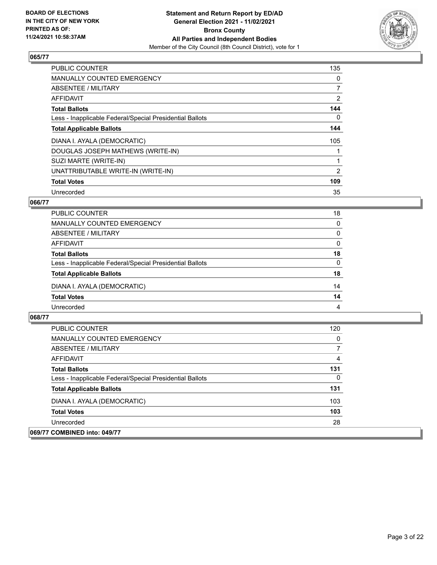

| <b>PUBLIC COUNTER</b>                                    | 135            |
|----------------------------------------------------------|----------------|
| <b>MANUALLY COUNTED EMERGENCY</b>                        | 0              |
| ABSENTEE / MILITARY                                      | $\overline{7}$ |
| <b>AFFIDAVIT</b>                                         | $\overline{2}$ |
| <b>Total Ballots</b>                                     | 144            |
| Less - Inapplicable Federal/Special Presidential Ballots | 0              |
| <b>Total Applicable Ballots</b>                          | 144            |
| DIANA I. AYALA (DEMOCRATIC)                              | 105            |
| DOUGLAS JOSEPH MATHEWS (WRITE-IN)                        |                |
| SUZI MARTE (WRITE-IN)                                    |                |
| UNATTRIBUTABLE WRITE-IN (WRITE-IN)                       | $\overline{2}$ |
| <b>Total Votes</b>                                       | 109            |
| Unrecorded                                               | 35             |

## **066/77**

| PUBLIC COUNTER                                           | 18       |
|----------------------------------------------------------|----------|
| <b>MANUALLY COUNTED EMERGENCY</b>                        | $\Omega$ |
| ABSENTEE / MILITARY                                      | $\Omega$ |
| AFFIDAVIT                                                | $\Omega$ |
| <b>Total Ballots</b>                                     | 18       |
| Less - Inapplicable Federal/Special Presidential Ballots | $\Omega$ |
| <b>Total Applicable Ballots</b>                          | 18       |
| DIANA I. AYALA (DEMOCRATIC)                              | 14       |
| <b>Total Votes</b>                                       | 14       |
| Unrecorded                                               | 4        |

| <b>PUBLIC COUNTER</b>                                    | 120 |
|----------------------------------------------------------|-----|
| MANUALLY COUNTED EMERGENCY                               | 0   |
| ABSENTEE / MILITARY                                      | 7   |
| AFFIDAVIT                                                | 4   |
| <b>Total Ballots</b>                                     | 131 |
| Less - Inapplicable Federal/Special Presidential Ballots | 0   |
| <b>Total Applicable Ballots</b>                          | 131 |
| DIANA I. AYALA (DEMOCRATIC)                              | 103 |
| <b>Total Votes</b>                                       | 103 |
| Unrecorded                                               | 28  |
| 069/77 COMBINED into: 049/77                             |     |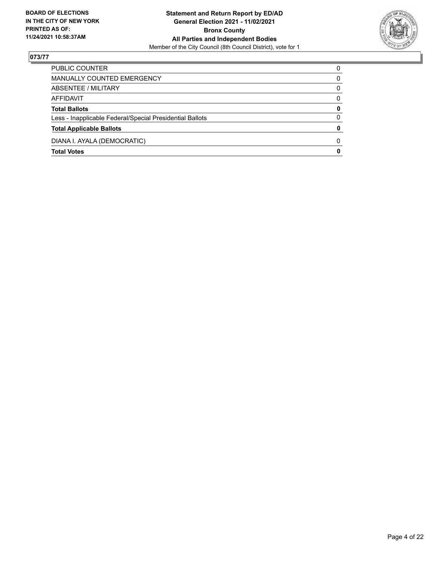

| PUBLIC COUNTER                                           | 0            |
|----------------------------------------------------------|--------------|
| MANUALLY COUNTED EMERGENCY                               | 0            |
| ABSENTEE / MILITARY                                      | 0            |
| AFFIDAVIT                                                | $\Omega$     |
| <b>Total Ballots</b>                                     | 0            |
| Less - Inapplicable Federal/Special Presidential Ballots | $\Omega$     |
| <b>Total Applicable Ballots</b>                          | 0            |
| DIANA I. AYALA (DEMOCRATIC)                              | <sup>0</sup> |
| <b>Total Votes</b>                                       | 0            |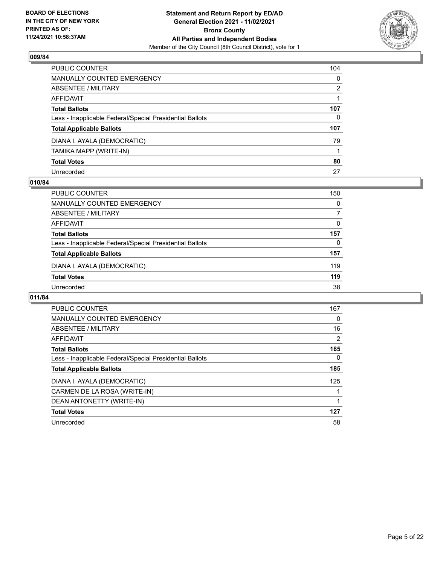

| PUBLIC COUNTER                                           | 104          |
|----------------------------------------------------------|--------------|
| <b>MANUALLY COUNTED EMERGENCY</b>                        | $\mathbf{0}$ |
| <b>ABSENTEE / MILITARY</b>                               | 2            |
| <b>AFFIDAVIT</b>                                         |              |
| <b>Total Ballots</b>                                     | 107          |
| Less - Inapplicable Federal/Special Presidential Ballots | 0            |
| <b>Total Applicable Ballots</b>                          | 107          |
| DIANA I. AYALA (DEMOCRATIC)                              | 79           |
| TAMIKA MAPP (WRITE-IN)                                   |              |
| <b>Total Votes</b>                                       | 80           |
| Unrecorded                                               | 27           |

#### **010/84**

| <b>PUBLIC COUNTER</b>                                    | 150      |
|----------------------------------------------------------|----------|
| MANUALLY COUNTED EMERGENCY                               | $\Omega$ |
| ABSENTEE / MILITARY                                      | 7        |
| AFFIDAVIT                                                | $\Omega$ |
| <b>Total Ballots</b>                                     | 157      |
| Less - Inapplicable Federal/Special Presidential Ballots | $\Omega$ |
| <b>Total Applicable Ballots</b>                          | 157      |
| DIANA I. AYALA (DEMOCRATIC)                              | 119      |
| <b>Total Votes</b>                                       | 119      |
| Unrecorded                                               | 38       |

| <b>PUBLIC COUNTER</b>                                    | 167 |
|----------------------------------------------------------|-----|
| <b>MANUALLY COUNTED EMERGENCY</b>                        | 0   |
| ABSENTEE / MILITARY                                      | 16  |
| AFFIDAVIT                                                | 2   |
| <b>Total Ballots</b>                                     | 185 |
| Less - Inapplicable Federal/Special Presidential Ballots | 0   |
| <b>Total Applicable Ballots</b>                          | 185 |
| DIANA I. AYALA (DEMOCRATIC)                              | 125 |
| CARMEN DE LA ROSA (WRITE-IN)                             |     |
| DEAN ANTONETTY (WRITE-IN)                                |     |
| <b>Total Votes</b>                                       | 127 |
| Unrecorded                                               | 58  |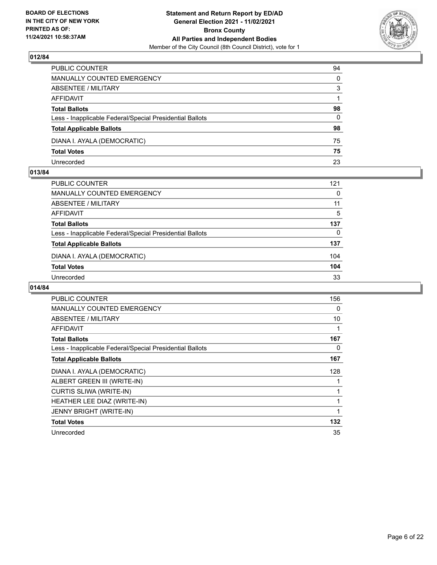

| PUBLIC COUNTER                                           | 94           |
|----------------------------------------------------------|--------------|
| MANUALLY COUNTED EMERGENCY                               | $\mathbf{0}$ |
| <b>ABSENTEE / MILITARY</b>                               | 3            |
| AFFIDAVIT                                                |              |
| <b>Total Ballots</b>                                     | 98           |
| Less - Inapplicable Federal/Special Presidential Ballots | $\Omega$     |
| <b>Total Applicable Ballots</b>                          | 98           |
| DIANA I. AYALA (DEMOCRATIC)                              | 75           |
| <b>Total Votes</b>                                       | 75           |
| Unrecorded                                               | 23           |

#### **013/84**

| PUBLIC COUNTER                                           | 121      |
|----------------------------------------------------------|----------|
| <b>MANUALLY COUNTED EMERGENCY</b>                        | $\Omega$ |
| <b>ABSENTEE / MILITARY</b>                               | 11       |
| AFFIDAVIT                                                | 5        |
| <b>Total Ballots</b>                                     | 137      |
| Less - Inapplicable Federal/Special Presidential Ballots | $\Omega$ |
| <b>Total Applicable Ballots</b>                          | 137      |
| DIANA I. AYALA (DEMOCRATIC)                              | 104      |
| <b>Total Votes</b>                                       | 104      |
| Unrecorded                                               | 33       |
|                                                          |          |

| <b>PUBLIC COUNTER</b>                                    | 156 |
|----------------------------------------------------------|-----|
| MANUALLY COUNTED EMERGENCY                               | 0   |
| ABSENTEE / MILITARY                                      | 10  |
| <b>AFFIDAVIT</b>                                         | 1   |
| <b>Total Ballots</b>                                     | 167 |
| Less - Inapplicable Federal/Special Presidential Ballots | 0   |
| <b>Total Applicable Ballots</b>                          | 167 |
| DIANA I. AYALA (DEMOCRATIC)                              | 128 |
| ALBERT GREEN III (WRITE-IN)                              | 1   |
| <b>CURTIS SLIWA (WRITE-IN)</b>                           |     |
| HEATHER LEE DIAZ (WRITE-IN)                              | 1   |
| <b>JENNY BRIGHT (WRITE-IN)</b>                           | 1   |
| <b>Total Votes</b>                                       | 132 |
| Unrecorded                                               | 35  |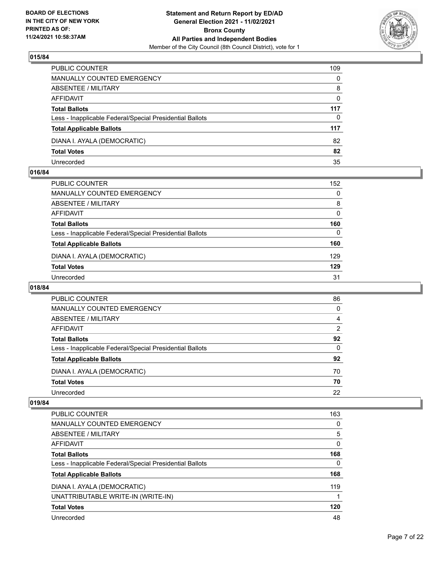

| PUBLIC COUNTER                                           | 109      |
|----------------------------------------------------------|----------|
| <b>MANUALLY COUNTED EMERGENCY</b>                        | $\Omega$ |
| ABSENTEE / MILITARY                                      | 8        |
| AFFIDAVIT                                                | $\Omega$ |
| <b>Total Ballots</b>                                     | 117      |
| Less - Inapplicable Federal/Special Presidential Ballots | $\Omega$ |
| <b>Total Applicable Ballots</b>                          | 117      |
| DIANA I. AYALA (DEMOCRATIC)                              | 82       |
| <b>Total Votes</b>                                       | 82       |
| Unrecorded                                               | 35       |

#### **016/84**

| PUBLIC COUNTER                                           | 152      |
|----------------------------------------------------------|----------|
| <b>MANUALLY COUNTED EMERGENCY</b>                        | 0        |
| ABSENTEE / MILITARY                                      | 8        |
| AFFIDAVIT                                                | $\Omega$ |
| <b>Total Ballots</b>                                     | 160      |
| Less - Inapplicable Federal/Special Presidential Ballots | $\Omega$ |
| <b>Total Applicable Ballots</b>                          | 160      |
| DIANA I. AYALA (DEMOCRATIC)                              | 129      |
| <b>Total Votes</b>                                       | 129      |
| Unrecorded                                               | 31       |

## **018/84**

| PUBLIC COUNTER                                           | 86             |
|----------------------------------------------------------|----------------|
| MANUALLY COUNTED EMERGENCY                               | 0              |
| ABSENTEE / MILITARY                                      | 4              |
| AFFIDAVIT                                                | $\overline{2}$ |
| <b>Total Ballots</b>                                     | 92             |
| Less - Inapplicable Federal/Special Presidential Ballots | 0              |
| <b>Total Applicable Ballots</b>                          | 92             |
| DIANA I. AYALA (DEMOCRATIC)                              | 70             |
| <b>Total Votes</b>                                       | 70             |
| Unrecorded                                               | 22             |

| PUBLIC COUNTER                                           | 163 |
|----------------------------------------------------------|-----|
| <b>MANUALLY COUNTED EMERGENCY</b>                        | 0   |
| ABSENTEE / MILITARY                                      | 5   |
| AFFIDAVIT                                                | 0   |
| <b>Total Ballots</b>                                     | 168 |
| Less - Inapplicable Federal/Special Presidential Ballots | 0   |
| <b>Total Applicable Ballots</b>                          | 168 |
| DIANA I. AYALA (DEMOCRATIC)                              | 119 |
| UNATTRIBUTABLE WRITE-IN (WRITE-IN)                       |     |
| <b>Total Votes</b>                                       | 120 |
| Unrecorded                                               | 48  |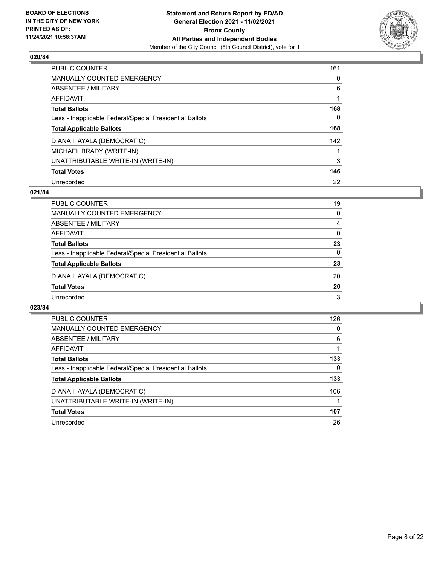

| <b>PUBLIC COUNTER</b>                                    | 161      |
|----------------------------------------------------------|----------|
| <b>MANUALLY COUNTED EMERGENCY</b>                        | $\Omega$ |
| ABSENTEE / MILITARY                                      | 6        |
| AFFIDAVIT                                                |          |
| <b>Total Ballots</b>                                     | 168      |
| Less - Inapplicable Federal/Special Presidential Ballots | 0        |
| <b>Total Applicable Ballots</b>                          | 168      |
| DIANA I. AYALA (DEMOCRATIC)                              | 142      |
| MICHAEL BRADY (WRITE-IN)                                 |          |
| UNATTRIBUTABLE WRITE-IN (WRITE-IN)                       | 3        |
| <b>Total Votes</b>                                       | 146      |
| Unrecorded                                               | 22       |

#### **021/84**

| <b>PUBLIC COUNTER</b>                                    | 19       |
|----------------------------------------------------------|----------|
| MANUALLY COUNTED EMERGENCY                               | $\Omega$ |
| ABSENTEE / MILITARY                                      | 4        |
| AFFIDAVIT                                                | $\Omega$ |
| <b>Total Ballots</b>                                     | 23       |
| Less - Inapplicable Federal/Special Presidential Ballots | $\Omega$ |
| <b>Total Applicable Ballots</b>                          | 23       |
| DIANA I. AYALA (DEMOCRATIC)                              | 20       |
| <b>Total Votes</b>                                       | 20       |
| Unrecorded                                               | 3        |

| <b>PUBLIC COUNTER</b>                                    | 126 |
|----------------------------------------------------------|-----|
| <b>MANUALLY COUNTED EMERGENCY</b>                        | 0   |
| ABSENTEE / MILITARY                                      | 6   |
| AFFIDAVIT                                                |     |
| <b>Total Ballots</b>                                     | 133 |
| Less - Inapplicable Federal/Special Presidential Ballots | 0   |
| <b>Total Applicable Ballots</b>                          | 133 |
| DIANA I. AYALA (DEMOCRATIC)                              | 106 |
| UNATTRIBUTABLE WRITE-IN (WRITE-IN)                       |     |
| <b>Total Votes</b>                                       | 107 |
| Unrecorded                                               | 26  |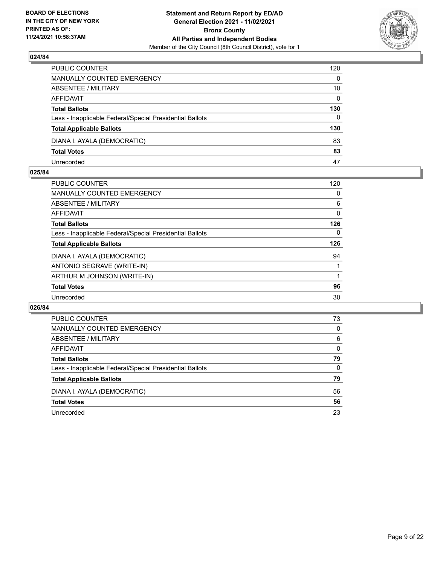

| PUBLIC COUNTER                                           | 120          |
|----------------------------------------------------------|--------------|
| MANUALLY COUNTED EMERGENCY                               | $\Omega$     |
| ABSENTEE / MILITARY                                      | 10           |
| AFFIDAVIT                                                | $\mathbf{0}$ |
| <b>Total Ballots</b>                                     | 130          |
| Less - Inapplicable Federal/Special Presidential Ballots | $\mathbf{0}$ |
| <b>Total Applicable Ballots</b>                          | 130          |
| DIANA I. AYALA (DEMOCRATIC)                              | 83           |
| <b>Total Votes</b>                                       | 83           |
| Unrecorded                                               | 47           |

#### **025/84**

| PUBLIC COUNTER                                           | 120 |
|----------------------------------------------------------|-----|
| <b>MANUALLY COUNTED EMERGENCY</b>                        | 0   |
| ABSENTEE / MILITARY                                      | 6   |
| AFFIDAVIT                                                | 0   |
| <b>Total Ballots</b>                                     | 126 |
| Less - Inapplicable Federal/Special Presidential Ballots | 0   |
| <b>Total Applicable Ballots</b>                          | 126 |
| DIANA I. AYALA (DEMOCRATIC)                              | 94  |
| ANTONIO SEGRAVE (WRITE-IN)                               |     |
| ARTHUR M JOHNSON (WRITE-IN)                              |     |
| <b>Total Votes</b>                                       | 96  |
| Unrecorded                                               | 30  |
|                                                          |     |

| PUBLIC COUNTER                                           | 73       |
|----------------------------------------------------------|----------|
| <b>MANUALLY COUNTED EMERGENCY</b>                        | 0        |
| ABSENTEE / MILITARY                                      | 6        |
| AFFIDAVIT                                                | $\Omega$ |
| <b>Total Ballots</b>                                     | 79       |
| Less - Inapplicable Federal/Special Presidential Ballots | 0        |
| <b>Total Applicable Ballots</b>                          | 79       |
| DIANA I. AYALA (DEMOCRATIC)                              | 56       |
| <b>Total Votes</b>                                       | 56       |
| Unrecorded                                               | 23       |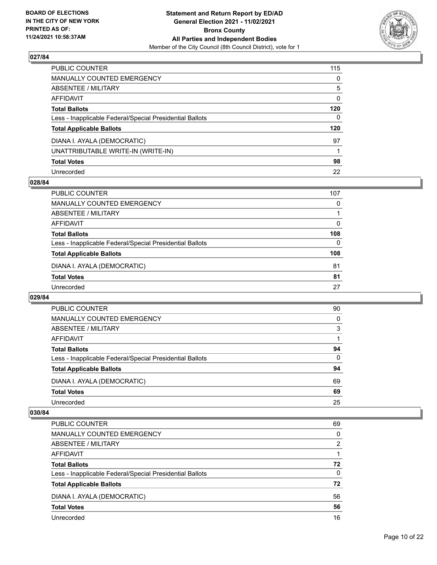

| PUBLIC COUNTER                                           | 115          |
|----------------------------------------------------------|--------------|
| MANUALLY COUNTED EMERGENCY                               | 0            |
| ABSENTEE / MILITARY                                      | 5            |
| AFFIDAVIT                                                | $\mathbf{0}$ |
| Total Ballots                                            | 120          |
| Less - Inapplicable Federal/Special Presidential Ballots | $\Omega$     |
| <b>Total Applicable Ballots</b>                          | 120          |
| DIANA I. AYALA (DEMOCRATIC)                              | 97           |
| UNATTRIBUTABLE WRITE-IN (WRITE-IN)                       |              |
| <b>Total Votes</b>                                       | 98           |
| Unrecorded                                               | 22           |

#### **028/84**

| PUBLIC COUNTER                                           | 107      |
|----------------------------------------------------------|----------|
| <b>MANUALLY COUNTED EMERGENCY</b>                        | 0        |
| ABSENTEE / MILITARY                                      |          |
| AFFIDAVIT                                                | $\Omega$ |
| <b>Total Ballots</b>                                     | 108      |
| Less - Inapplicable Federal/Special Presidential Ballots | $\Omega$ |
| <b>Total Applicable Ballots</b>                          | 108      |
| DIANA I. AYALA (DEMOCRATIC)                              | 81       |
| <b>Total Votes</b>                                       | 81       |
| Unrecorded                                               | 27       |
|                                                          |          |

#### **029/84**

| PUBLIC COUNTER                                           | 90       |
|----------------------------------------------------------|----------|
| <b>MANUALLY COUNTED EMERGENCY</b>                        | $\Omega$ |
| ABSENTEE / MILITARY                                      | 3        |
| AFFIDAVIT                                                |          |
| <b>Total Ballots</b>                                     | 94       |
| Less - Inapplicable Federal/Special Presidential Ballots | $\Omega$ |
| <b>Total Applicable Ballots</b>                          | 94       |
| DIANA I. AYALA (DEMOCRATIC)                              | 69       |
| <b>Total Votes</b>                                       | 69       |
| Unrecorded                                               | 25       |

| <b>PUBLIC COUNTER</b>                                    | 69       |
|----------------------------------------------------------|----------|
| MANUALLY COUNTED EMERGENCY                               | $\Omega$ |
| ABSENTEE / MILITARY                                      | 2        |
| AFFIDAVIT                                                |          |
| <b>Total Ballots</b>                                     | 72       |
| Less - Inapplicable Federal/Special Presidential Ballots | $\Omega$ |
| <b>Total Applicable Ballots</b>                          | 72       |
| DIANA I. AYALA (DEMOCRATIC)                              | 56       |
| <b>Total Votes</b>                                       | 56       |
| Unrecorded                                               | 16       |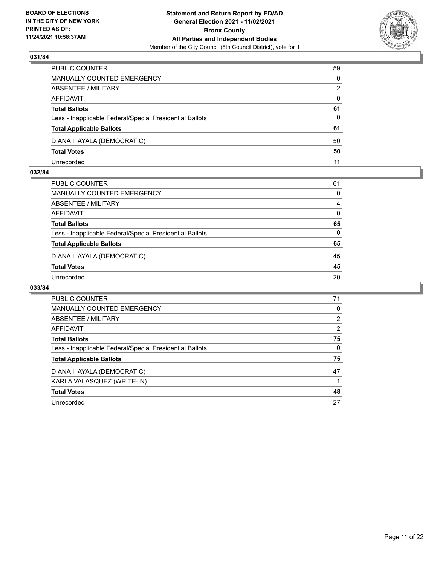

| PUBLIC COUNTER                                           | 59       |
|----------------------------------------------------------|----------|
| MANUALLY COUNTED EMERGENCY                               | $\Omega$ |
| ABSENTEE / MILITARY                                      | 2        |
| AFFIDAVIT                                                | $\Omega$ |
| <b>Total Ballots</b>                                     | 61       |
| Less - Inapplicable Federal/Special Presidential Ballots | $\Omega$ |
| <b>Total Applicable Ballots</b>                          | 61       |
| DIANA I. AYALA (DEMOCRATIC)                              | 50       |
| <b>Total Votes</b>                                       | 50       |
| Unrecorded                                               | 11       |

#### **032/84**

| PUBLIC COUNTER                                           | 61       |
|----------------------------------------------------------|----------|
| <b>MANUALLY COUNTED EMERGENCY</b>                        | 0        |
| <b>ABSENTEE / MILITARY</b>                               | 4        |
| <b>AFFIDAVIT</b>                                         | 0        |
| <b>Total Ballots</b>                                     | 65       |
| Less - Inapplicable Federal/Special Presidential Ballots | $\Omega$ |
| <b>Total Applicable Ballots</b>                          | 65       |
| DIANA I. AYALA (DEMOCRATIC)                              | 45       |
| <b>Total Votes</b>                                       | 45       |
| Unrecorded                                               | 20       |

| <b>PUBLIC COUNTER</b>                                    | 71       |
|----------------------------------------------------------|----------|
| MANUALLY COUNTED EMERGENCY                               | 0        |
| ABSENTEE / MILITARY                                      | 2        |
| AFFIDAVIT                                                | 2        |
| <b>Total Ballots</b>                                     | 75       |
| Less - Inapplicable Federal/Special Presidential Ballots | $\Omega$ |
| <b>Total Applicable Ballots</b>                          | 75       |
| DIANA I. AYALA (DEMOCRATIC)                              | 47       |
| KARLA VALASQUEZ (WRITE-IN)                               |          |
| <b>Total Votes</b>                                       | 48       |
| Unrecorded                                               | 27       |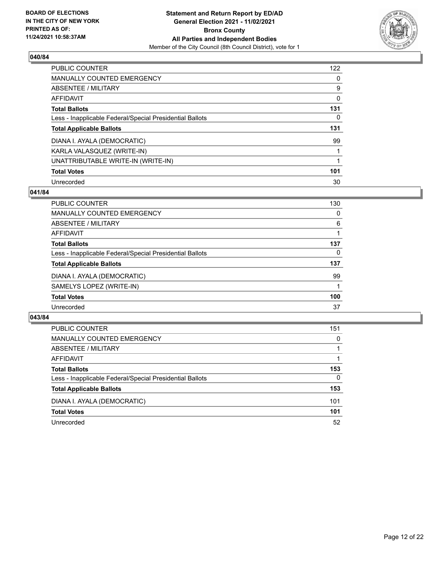

| <b>PUBLIC COUNTER</b>                                    | 122      |
|----------------------------------------------------------|----------|
| MANUALLY COUNTED EMERGENCY                               | $\Omega$ |
| ABSENTEE / MILITARY                                      | 9        |
| AFFIDAVIT                                                | 0        |
| <b>Total Ballots</b>                                     | 131      |
| Less - Inapplicable Federal/Special Presidential Ballots | 0        |
| <b>Total Applicable Ballots</b>                          | 131      |
| DIANA I. AYALA (DEMOCRATIC)                              | 99       |
| KARLA VALASQUEZ (WRITE-IN)                               |          |
| UNATTRIBUTABLE WRITE-IN (WRITE-IN)                       |          |
| <b>Total Votes</b>                                       | 101      |
| Unrecorded                                               | 30       |

#### **041/84**

| <b>PUBLIC COUNTER</b>                                    | 130      |
|----------------------------------------------------------|----------|
| MANUALLY COUNTED EMERGENCY                               | 0        |
| ABSENTEE / MILITARY                                      | 6        |
| <b>AFFIDAVIT</b>                                         |          |
| <b>Total Ballots</b>                                     | 137      |
| Less - Inapplicable Federal/Special Presidential Ballots | $\Omega$ |
| <b>Total Applicable Ballots</b>                          | 137      |
| DIANA I. AYALA (DEMOCRATIC)                              | 99       |
| SAMELYS LOPEZ (WRITE-IN)                                 |          |
| <b>Total Votes</b>                                       | 100      |
| Unrecorded                                               | 37       |

| <b>PUBLIC COUNTER</b>                                    | 151      |
|----------------------------------------------------------|----------|
| MANUALLY COUNTED EMERGENCY                               | $\Omega$ |
| ABSENTEE / MILITARY                                      |          |
| AFFIDAVIT                                                |          |
| <b>Total Ballots</b>                                     | 153      |
| Less - Inapplicable Federal/Special Presidential Ballots | $\Omega$ |
| <b>Total Applicable Ballots</b>                          | 153      |
| DIANA I. AYALA (DEMOCRATIC)                              | 101      |
| <b>Total Votes</b>                                       | 101      |
| Unrecorded                                               | 52       |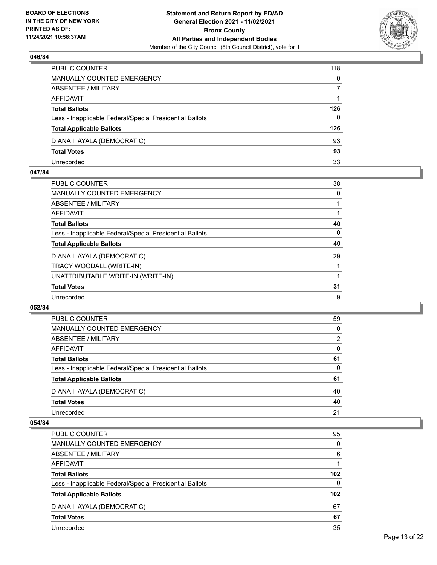

| PUBLIC COUNTER                                           | 118      |
|----------------------------------------------------------|----------|
| <b>MANUALLY COUNTED EMERGENCY</b>                        | 0        |
| <b>ABSENTEE / MILITARY</b>                               |          |
| AFFIDAVIT                                                |          |
| <b>Total Ballots</b>                                     | 126      |
| Less - Inapplicable Federal/Special Presidential Ballots | $\Omega$ |
| <b>Total Applicable Ballots</b>                          | 126      |
| DIANA I. AYALA (DEMOCRATIC)                              | 93       |
| <b>Total Votes</b>                                       | 93       |
| Unrecorded                                               | 33       |

#### **047/84**

| <b>PUBLIC COUNTER</b>                                    | 38 |
|----------------------------------------------------------|----|
| <b>MANUALLY COUNTED EMERGENCY</b>                        | 0  |
| ABSENTEE / MILITARY                                      |    |
| <b>AFFIDAVIT</b>                                         |    |
| <b>Total Ballots</b>                                     | 40 |
| Less - Inapplicable Federal/Special Presidential Ballots | 0  |
| <b>Total Applicable Ballots</b>                          | 40 |
| DIANA I. AYALA (DEMOCRATIC)                              | 29 |
| TRACY WOODALL (WRITE-IN)                                 |    |
| UNATTRIBUTABLE WRITE-IN (WRITE-IN)                       |    |
| <b>Total Votes</b>                                       | 31 |
| Unrecorded                                               | 9  |

#### **052/84**

| <b>PUBLIC COUNTER</b>                                    | 59       |
|----------------------------------------------------------|----------|
| <b>MANUALLY COUNTED EMERGENCY</b>                        | 0        |
| ABSENTEE / MILITARY                                      | 2        |
| AFFIDAVIT                                                | $\Omega$ |
| <b>Total Ballots</b>                                     | 61       |
| Less - Inapplicable Federal/Special Presidential Ballots | $\Omega$ |
| <b>Total Applicable Ballots</b>                          | 61       |
| DIANA I. AYALA (DEMOCRATIC)                              | 40       |
| <b>Total Votes</b>                                       | 40       |
| Unrecorded                                               | 21       |
|                                                          |          |

| PUBLIC COUNTER                                           | 95               |
|----------------------------------------------------------|------------------|
| <b>MANUALLY COUNTED EMERGENCY</b>                        | 0                |
| ABSENTEE / MILITARY                                      | 6                |
| AFFIDAVIT                                                |                  |
| <b>Total Ballots</b>                                     | 102 <sub>2</sub> |
| Less - Inapplicable Federal/Special Presidential Ballots | $\Omega$         |
| <b>Total Applicable Ballots</b>                          | 102 <sub>2</sub> |
| DIANA I. AYALA (DEMOCRATIC)                              | 67               |
| <b>Total Votes</b>                                       | 67               |
| Unrecorded                                               | 35               |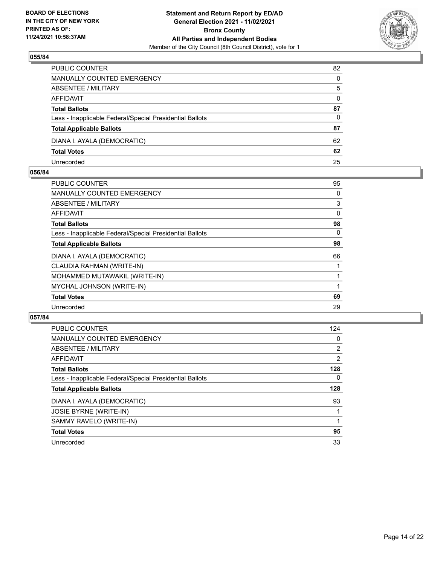

| PUBLIC COUNTER                                           | 82       |
|----------------------------------------------------------|----------|
| MANUALLY COUNTED EMERGENCY                               | $\Omega$ |
| ABSENTEE / MILITARY                                      | 5        |
| AFFIDAVIT                                                | $\Omega$ |
| <b>Total Ballots</b>                                     | 87       |
| Less - Inapplicable Federal/Special Presidential Ballots | $\Omega$ |
| <b>Total Applicable Ballots</b>                          | 87       |
| DIANA I. AYALA (DEMOCRATIC)                              | 62       |
| <b>Total Votes</b>                                       | 62       |
| Unrecorded                                               | 25       |

#### **056/84**

| PUBLIC COUNTER                                           | 95 |
|----------------------------------------------------------|----|
| <b>MANUALLY COUNTED EMERGENCY</b>                        | 0  |
| ABSENTEE / MILITARY                                      | 3  |
| AFFIDAVIT                                                | 0  |
| <b>Total Ballots</b>                                     | 98 |
| Less - Inapplicable Federal/Special Presidential Ballots | 0  |
| <b>Total Applicable Ballots</b>                          | 98 |
| DIANA I. AYALA (DEMOCRATIC)                              | 66 |
| CLAUDIA RAHMAN (WRITE-IN)                                |    |
| MOHAMMED MUTAWAKIL (WRITE-IN)                            |    |
| MYCHAL JOHNSON (WRITE-IN)                                |    |
| <b>Total Votes</b>                                       | 69 |
| Unrecorded                                               | 29 |
|                                                          |    |

| <b>PUBLIC COUNTER</b>                                    | 124            |
|----------------------------------------------------------|----------------|
| <b>MANUALLY COUNTED EMERGENCY</b>                        | 0              |
| ABSENTEE / MILITARY                                      | 2              |
| AFFIDAVIT                                                | $\overline{2}$ |
| <b>Total Ballots</b>                                     | 128            |
| Less - Inapplicable Federal/Special Presidential Ballots | $\Omega$       |
| <b>Total Applicable Ballots</b>                          | 128            |
| DIANA I. AYALA (DEMOCRATIC)                              | 93             |
| <b>JOSIE BYRNE (WRITE-IN)</b>                            |                |
| SAMMY RAVELO (WRITE-IN)                                  |                |
| <b>Total Votes</b>                                       | 95             |
| Unrecorded                                               | 33             |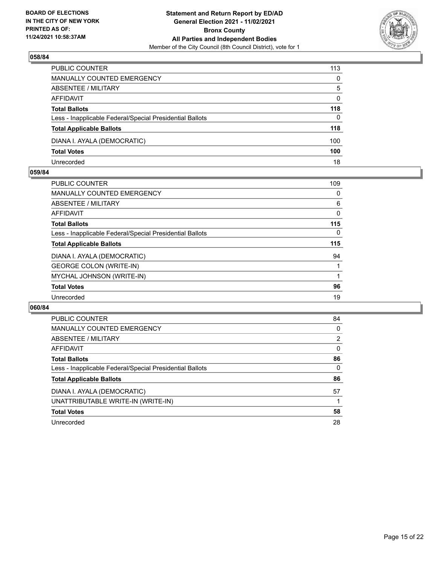

| PUBLIC COUNTER                                           | 113          |
|----------------------------------------------------------|--------------|
| <b>MANUALLY COUNTED EMERGENCY</b>                        | $\Omega$     |
| <b>ABSENTEE / MILITARY</b>                               | 5            |
| AFFIDAVIT                                                | $\mathbf{0}$ |
| <b>Total Ballots</b>                                     | 118          |
| Less - Inapplicable Federal/Special Presidential Ballots | $\Omega$     |
| <b>Total Applicable Ballots</b>                          | 118          |
| DIANA I. AYALA (DEMOCRATIC)                              | 100          |
| <b>Total Votes</b>                                       | 100          |
| Unrecorded                                               | 18           |

#### **059/84**

| <b>PUBLIC COUNTER</b>                                    | 109 |
|----------------------------------------------------------|-----|
| <b>MANUALLY COUNTED EMERGENCY</b>                        | 0   |
| ABSENTEE / MILITARY                                      | 6   |
| AFFIDAVIT                                                | 0   |
| <b>Total Ballots</b>                                     | 115 |
| Less - Inapplicable Federal/Special Presidential Ballots | 0   |
| <b>Total Applicable Ballots</b>                          | 115 |
| DIANA I. AYALA (DEMOCRATIC)                              | 94  |
| <b>GEORGE COLON (WRITE-IN)</b>                           |     |
| MYCHAL JOHNSON (WRITE-IN)                                |     |
| <b>Total Votes</b>                                       | 96  |
| Unrecorded                                               | 19  |
|                                                          |     |

| <b>PUBLIC COUNTER</b>                                    | 84       |
|----------------------------------------------------------|----------|
| <b>MANUALLY COUNTED EMERGENCY</b>                        | $\Omega$ |
| ABSENTEE / MILITARY                                      | 2        |
| AFFIDAVIT                                                | $\Omega$ |
| <b>Total Ballots</b>                                     | 86       |
| Less - Inapplicable Federal/Special Presidential Ballots | 0        |
| <b>Total Applicable Ballots</b>                          | 86       |
| DIANA I. AYALA (DEMOCRATIC)                              | 57       |
| UNATTRIBUTABLE WRITE-IN (WRITE-IN)                       |          |
| <b>Total Votes</b>                                       | 58       |
| Unrecorded                                               | 28       |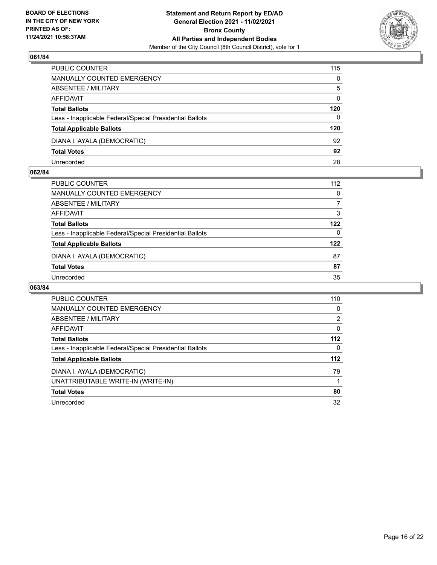

| PUBLIC COUNTER                                           | 115          |
|----------------------------------------------------------|--------------|
| MANUALLY COUNTED EMERGENCY                               | $\Omega$     |
| ABSENTEE / MILITARY                                      | 5            |
| AFFIDAVIT                                                | $\mathbf{0}$ |
| <b>Total Ballots</b>                                     | 120          |
| Less - Inapplicable Federal/Special Presidential Ballots | $\mathbf{0}$ |
| <b>Total Applicable Ballots</b>                          | 120          |
| DIANA I. AYALA (DEMOCRATIC)                              | 92           |
| <b>Total Votes</b>                                       | 92           |
| Unrecorded                                               | 28           |

#### **062/84**

| PUBLIC COUNTER                                           | 112      |
|----------------------------------------------------------|----------|
| <b>MANUALLY COUNTED EMERGENCY</b>                        | $\Omega$ |
| ABSENTEE / MILITARY                                      | 7        |
| AFFIDAVIT                                                | 3        |
| <b>Total Ballots</b>                                     | 122      |
| Less - Inapplicable Federal/Special Presidential Ballots | $\Omega$ |
| <b>Total Applicable Ballots</b>                          | 122      |
| DIANA I. AYALA (DEMOCRATIC)                              | 87       |
| <b>Total Votes</b>                                       | 87       |
| Unrecorded                                               | 35       |

| <b>PUBLIC COUNTER</b>                                    | 110      |
|----------------------------------------------------------|----------|
| <b>MANUALLY COUNTED EMERGENCY</b>                        | 0        |
| ABSENTEE / MILITARY                                      | 2        |
| AFFIDAVIT                                                | 0        |
| <b>Total Ballots</b>                                     | $112$    |
| Less - Inapplicable Federal/Special Presidential Ballots | $\Omega$ |
| <b>Total Applicable Ballots</b>                          | $112$    |
| DIANA I. AYALA (DEMOCRATIC)                              | 79       |
| UNATTRIBUTABLE WRITE-IN (WRITE-IN)                       |          |
| <b>Total Votes</b>                                       | 80       |
| Unrecorded                                               | 32       |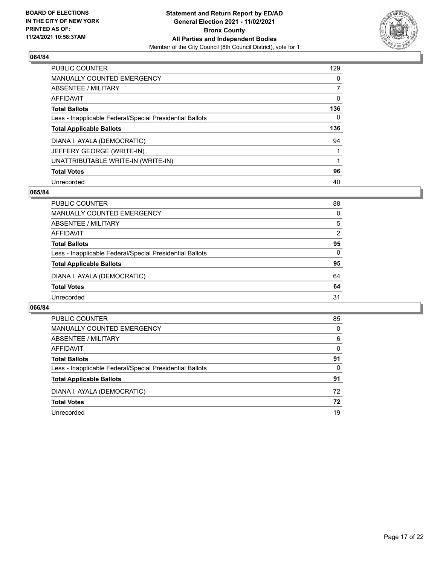

| <b>PUBLIC COUNTER</b>                                    | 129      |
|----------------------------------------------------------|----------|
| MANUALLY COUNTED EMERGENCY                               | $\Omega$ |
| ABSENTEE / MILITARY                                      |          |
| AFFIDAVIT                                                | 0        |
| <b>Total Ballots</b>                                     | 136      |
| Less - Inapplicable Federal/Special Presidential Ballots | 0        |
| <b>Total Applicable Ballots</b>                          | 136      |
| DIANA I. AYALA (DEMOCRATIC)                              | 94       |
| JEFFERY GEORGE (WRITE-IN)                                |          |
| UNATTRIBUTABLE WRITE-IN (WRITE-IN)                       |          |
| <b>Total Votes</b>                                       | 96       |
| Unrecorded                                               | 40       |

#### **065/84**

| PUBLIC COUNTER                                           | 88       |
|----------------------------------------------------------|----------|
| MANUALLY COUNTED EMERGENCY                               | $\Omega$ |
| ABSENTEE / MILITARY                                      | 5        |
| AFFIDAVIT                                                | 2        |
| <b>Total Ballots</b>                                     | 95       |
| Less - Inapplicable Federal/Special Presidential Ballots | $\Omega$ |
| <b>Total Applicable Ballots</b>                          | 95       |
| DIANA I. AYALA (DEMOCRATIC)                              | 64       |
| <b>Total Votes</b>                                       | 64       |
| Unrecorded                                               | 31       |

| PUBLIC COUNTER                                           | 85       |
|----------------------------------------------------------|----------|
| <b>MANUALLY COUNTED EMERGENCY</b>                        | 0        |
| ABSENTEE / MILITARY                                      | 6        |
| AFFIDAVIT                                                | $\Omega$ |
| <b>Total Ballots</b>                                     | 91       |
| Less - Inapplicable Federal/Special Presidential Ballots | 0        |
| <b>Total Applicable Ballots</b>                          | 91       |
| DIANA I. AYALA (DEMOCRATIC)                              | 72       |
| <b>Total Votes</b>                                       | 72       |
| Unrecorded                                               | 19       |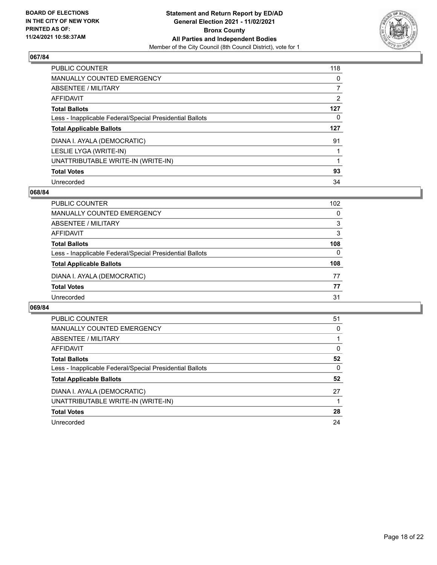

| <b>PUBLIC COUNTER</b>                                    | 118      |
|----------------------------------------------------------|----------|
| MANUALLY COUNTED EMERGENCY                               | $\Omega$ |
| ABSENTEE / MILITARY                                      |          |
| AFFIDAVIT                                                | 2        |
| <b>Total Ballots</b>                                     | 127      |
| Less - Inapplicable Federal/Special Presidential Ballots | 0        |
| <b>Total Applicable Ballots</b>                          | 127      |
|                                                          |          |
| DIANA I. AYALA (DEMOCRATIC)                              | 91       |
| LESLIE LYGA (WRITE-IN)                                   |          |
| UNATTRIBUTABLE WRITE-IN (WRITE-IN)                       |          |
| <b>Total Votes</b>                                       | 93       |

#### **068/84**

| <b>PUBLIC COUNTER</b>                                    | 102      |
|----------------------------------------------------------|----------|
| MANUALLY COUNTED EMERGENCY                               | $\Omega$ |
| ABSENTEE / MILITARY                                      | 3        |
| AFFIDAVIT                                                | 3        |
| <b>Total Ballots</b>                                     | 108      |
| Less - Inapplicable Federal/Special Presidential Ballots | $\Omega$ |
| <b>Total Applicable Ballots</b>                          | 108      |
| DIANA I. AYALA (DEMOCRATIC)                              | 77       |
| <b>Total Votes</b>                                       | 77       |
| Unrecorded                                               | 31       |

| <b>PUBLIC COUNTER</b>                                    | 51 |
|----------------------------------------------------------|----|
| <b>MANUALLY COUNTED EMERGENCY</b>                        | 0  |
| ABSENTEE / MILITARY                                      |    |
| <b>AFFIDAVIT</b>                                         | 0  |
| <b>Total Ballots</b>                                     | 52 |
| Less - Inapplicable Federal/Special Presidential Ballots | 0  |
| <b>Total Applicable Ballots</b>                          | 52 |
| DIANA I. AYALA (DEMOCRATIC)                              | 27 |
| UNATTRIBUTABLE WRITE-IN (WRITE-IN)                       |    |
| <b>Total Votes</b>                                       | 28 |
| Unrecorded                                               | 24 |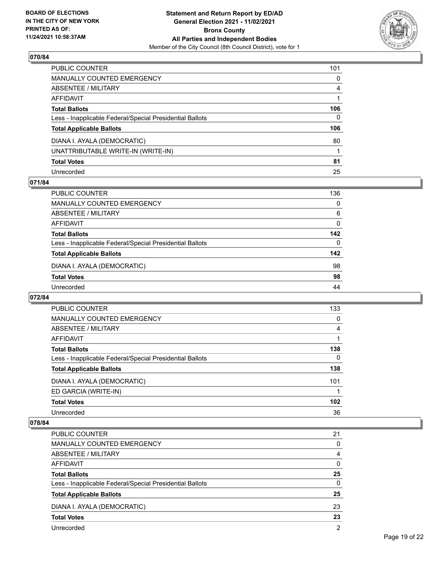

| PUBLIC COUNTER                                           | 101            |
|----------------------------------------------------------|----------------|
| MANUALLY COUNTED EMERGENCY                               | $\mathbf{0}$   |
| ABSENTEE / MILITARY                                      | $\overline{4}$ |
| AFFIDAVIT                                                |                |
| Total Ballots                                            | 106            |
| Less - Inapplicable Federal/Special Presidential Ballots | $\mathbf{0}$   |
| <b>Total Applicable Ballots</b>                          | 106            |
| DIANA I. AYALA (DEMOCRATIC)                              | 80             |
| UNATTRIBUTABLE WRITE-IN (WRITE-IN)                       |                |
| <b>Total Votes</b>                                       | 81             |
| Unrecorded                                               | 25             |

#### **071/84**

| <b>PUBLIC COUNTER</b>                                    | 136      |
|----------------------------------------------------------|----------|
| <b>MANUALLY COUNTED EMERGENCY</b>                        | 0        |
| ABSENTEE / MILITARY                                      | 6        |
| AFFIDAVIT                                                | $\Omega$ |
| <b>Total Ballots</b>                                     | 142      |
| Less - Inapplicable Federal/Special Presidential Ballots | $\Omega$ |
| <b>Total Applicable Ballots</b>                          | 142      |
| DIANA I. AYALA (DEMOCRATIC)                              | 98       |
| <b>Total Votes</b>                                       | 98       |
| Unrecorded                                               | 44       |

#### **072/84**

| <b>PUBLIC COUNTER</b>                                    | 133 |
|----------------------------------------------------------|-----|
| <b>MANUALLY COUNTED EMERGENCY</b>                        | 0   |
| ABSENTEE / MILITARY                                      | 4   |
| AFFIDAVIT                                                |     |
| <b>Total Ballots</b>                                     | 138 |
| Less - Inapplicable Federal/Special Presidential Ballots | 0   |
| <b>Total Applicable Ballots</b>                          | 138 |
| DIANA I. AYALA (DEMOCRATIC)                              | 101 |
| ED GARCIA (WRITE-IN)                                     |     |
| <b>Total Votes</b>                                       | 102 |
| Unrecorded                                               | 36  |

| PUBLIC COUNTER                                           | 21            |
|----------------------------------------------------------|---------------|
| <b>MANUALLY COUNTED EMERGENCY</b>                        | $\Omega$      |
| ABSENTEE / MILITARY                                      | 4             |
| AFFIDAVIT                                                | $\Omega$      |
| <b>Total Ballots</b>                                     | 25            |
| Less - Inapplicable Federal/Special Presidential Ballots | $\Omega$      |
| <b>Total Applicable Ballots</b>                          | 25            |
| DIANA I. AYALA (DEMOCRATIC)                              | 23            |
| <b>Total Votes</b>                                       | 23            |
| Unrecorded                                               | $\mathcal{P}$ |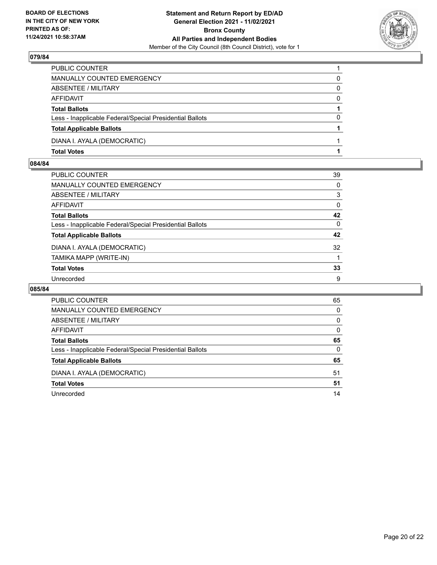

| PUBLIC COUNTER                                           |          |
|----------------------------------------------------------|----------|
| <b>MANUALLY COUNTED EMERGENCY</b>                        | 0        |
| ABSENTEE / MILITARY                                      | 0        |
| AFFIDAVIT                                                | $\Omega$ |
| <b>Total Ballots</b>                                     |          |
| Less - Inapplicable Federal/Special Presidential Ballots | 0        |
| <b>Total Applicable Ballots</b>                          |          |
| DIANA I. AYALA (DEMOCRATIC)                              |          |
| <b>Total Votes</b>                                       |          |

### **084/84**

| PUBLIC COUNTER                                           | 39       |
|----------------------------------------------------------|----------|
| MANUALLY COUNTED EMERGENCY                               | 0        |
| ABSENTEE / MILITARY                                      | 3        |
| AFFIDAVIT                                                | 0        |
| Total Ballots                                            | 42       |
| Less - Inapplicable Federal/Special Presidential Ballots | $\Omega$ |
| <b>Total Applicable Ballots</b>                          | 42       |
| DIANA I. AYALA (DEMOCRATIC)                              | 32       |
| TAMIKA MAPP (WRITE-IN)                                   |          |
| <b>Total Votes</b>                                       | 33       |
| Unrecorded                                               | 9        |

| <b>PUBLIC COUNTER</b>                                    | 65       |
|----------------------------------------------------------|----------|
| MANUALLY COUNTED EMERGENCY                               | 0        |
| ABSENTEE / MILITARY                                      | 0        |
| AFFIDAVIT                                                | $\Omega$ |
| <b>Total Ballots</b>                                     | 65       |
| Less - Inapplicable Federal/Special Presidential Ballots | $\Omega$ |
| <b>Total Applicable Ballots</b>                          | 65       |
| DIANA I. AYALA (DEMOCRATIC)                              | 51       |
| <b>Total Votes</b>                                       | 51       |
| Unrecorded                                               | 14       |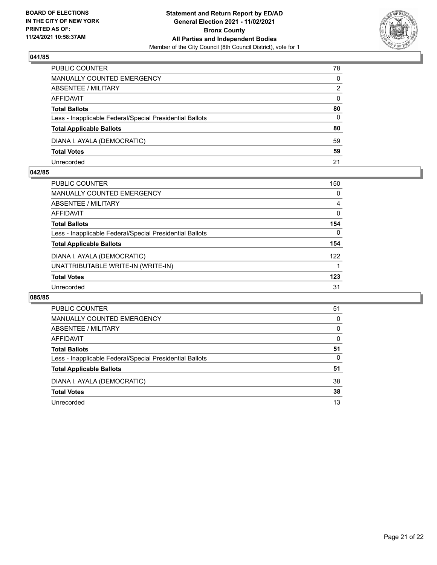

| PUBLIC COUNTER                                           | 78           |
|----------------------------------------------------------|--------------|
| <b>MANUALLY COUNTED EMERGENCY</b>                        | 0            |
| <b>ABSENTEE / MILITARY</b>                               | 2            |
| AFFIDAVIT                                                | $\mathbf{0}$ |
| <b>Total Ballots</b>                                     | 80           |
| Less - Inapplicable Federal/Special Presidential Ballots | 0            |
| <b>Total Applicable Ballots</b>                          | 80           |
| DIANA I. AYALA (DEMOCRATIC)                              | 59           |
| <b>Total Votes</b>                                       | 59           |
| Unrecorded                                               | 21           |

#### **042/85**

| <b>PUBLIC COUNTER</b>                                    | 150      |
|----------------------------------------------------------|----------|
| MANUALLY COUNTED EMERGENCY                               | 0        |
| <b>ABSENTEE / MILITARY</b>                               | 4        |
| AFFIDAVIT                                                | 0        |
| <b>Total Ballots</b>                                     | 154      |
| Less - Inapplicable Federal/Special Presidential Ballots | $\Omega$ |
| <b>Total Applicable Ballots</b>                          | 154      |
| DIANA I. AYALA (DEMOCRATIC)                              | 122      |
| UNATTRIBUTABLE WRITE-IN (WRITE-IN)                       |          |
| <b>Total Votes</b>                                       | 123      |
| Unrecorded                                               | 31       |
|                                                          |          |

| PUBLIC COUNTER                                           | 51       |
|----------------------------------------------------------|----------|
| <b>MANUALLY COUNTED EMERGENCY</b>                        | $\Omega$ |
| ABSENTEE / MILITARY                                      | $\Omega$ |
| AFFIDAVIT                                                | 0        |
| <b>Total Ballots</b>                                     | 51       |
| Less - Inapplicable Federal/Special Presidential Ballots | 0        |
| <b>Total Applicable Ballots</b>                          | 51       |
| DIANA I. AYALA (DEMOCRATIC)                              | 38       |
| <b>Total Votes</b>                                       | 38       |
| Unrecorded                                               | 13       |